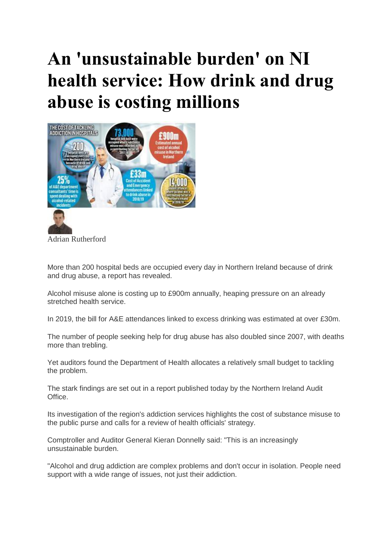## **An 'unsustainable burden' on NI health service: How drink and drug abuse is costing millions**



Adrian Rutherford

More than 200 hospital beds are occupied every day in Northern Ireland because of drink and drug abuse, a report has revealed.

Alcohol misuse alone is costing up to £900m annually, heaping pressure on an already stretched health service.

In 2019, the bill for A&E attendances linked to excess drinking was estimated at over £30m.

The number of people seeking help for drug abuse has also doubled since 2007, with deaths more than trebling.

Yet auditors found the Department of Health allocates a relatively small budget to tackling the problem.

The stark findings are set out in a report published today by the Northern Ireland Audit **Office** 

Its investigation of the region's addiction services highlights the cost of substance misuse to the public purse and calls for a review of health officials' strategy.

Comptroller and Auditor General Kieran Donnelly said: "This is an increasingly unsustainable burden.

"Alcohol and drug addiction are complex problems and don't occur in isolation. People need support with a wide range of issues, not just their addiction.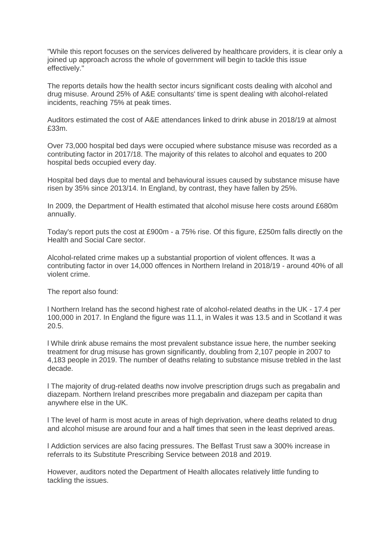"While this report focuses on the services delivered by healthcare providers, it is clear only a joined up approach across the whole of government will begin to tackle this issue effectively."

The reports details how the health sector incurs significant costs dealing with alcohol and drug misuse. Around 25% of A&E consultants' time is spent dealing with alcohol-related incidents, reaching 75% at peak times.

Auditors estimated the cost of A&E attendances linked to drink abuse in 2018/19 at almost £33m.

Over 73,000 hospital bed days were occupied where substance misuse was recorded as a contributing factor in 2017/18. The majority of this relates to alcohol and equates to 200 hospital beds occupied every day.

Hospital bed days due to mental and behavioural issues caused by substance misuse have risen by 35% since 2013/14. In England, by contrast, they have fallen by 25%.

In 2009, the Department of Health estimated that alcohol misuse here costs around £680m annually.

Today's report puts the cost at £900m - a 75% rise. Of this figure, £250m falls directly on the Health and Social Care sector.

Alcohol-related crime makes up a substantial proportion of violent offences. It was a contributing factor in over 14,000 offences in Northern Ireland in 2018/19 - around 40% of all violent crime.

The report also found:

l Northern Ireland has the second highest rate of alcohol-related deaths in the UK - 17.4 per 100,000 in 2017. In England the figure was 11.1, in Wales it was 13.5 and in Scotland it was 20.5.

l While drink abuse remains the most prevalent substance issue here, the number seeking treatment for drug misuse has grown significantly, doubling from 2,107 people in 2007 to 4,183 people in 2019. The number of deaths relating to substance misuse trebled in the last decade.

l The majority of drug-related deaths now involve prescription drugs such as pregabalin and diazepam. Northern Ireland prescribes more pregabalin and diazepam per capita than anywhere else in the UK.

l The level of harm is most acute in areas of high deprivation, where deaths related to drug and alcohol misuse are around four and a half times that seen in the least deprived areas.

l Addiction services are also facing pressures. The Belfast Trust saw a 300% increase in referrals to its Substitute Prescribing Service between 2018 and 2019.

However, auditors noted the Department of Health allocates relatively little funding to tackling the issues.